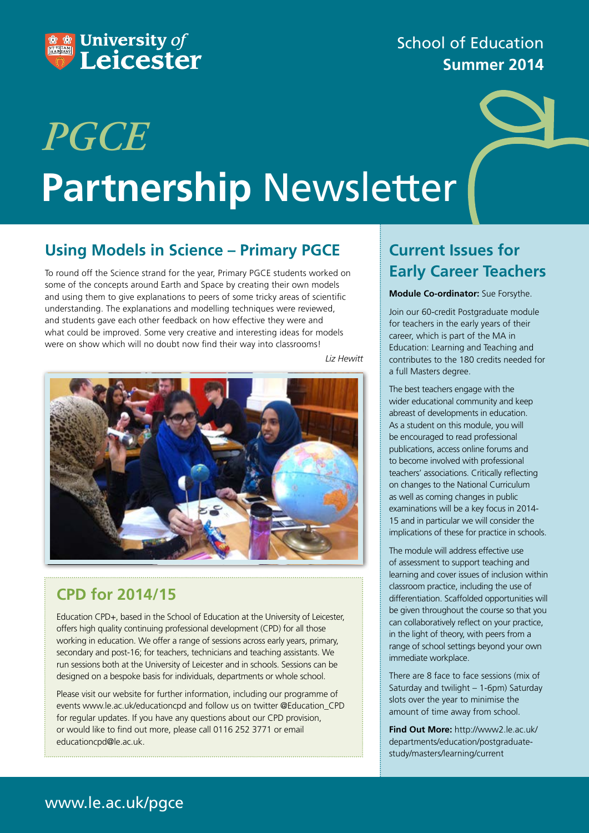

# School of Education **Summer 2014**

# **Partnership** Newsletter *PGCE*

## **Using Models in Science – Primary PGCE**

To round off the Science strand for the year, Primary PGCE students worked on some of the concepts around Earth and Space by creating their own models and using them to give explanations to peers of some tricky areas of scientific understanding. The explanations and modelling techniques were reviewed, and students gave each other feedback on how effective they were and what could be improved. Some very creative and interesting ideas for models were on show which will no doubt now find their way into classrooms!

*Liz Hewitt*



## **CPD for 2014/15**

Education CPD+, based in the School of Education at the University of Leicester, offers high quality continuing professional development (CPD) for all those working in education. We offer a range of sessions across early years, primary, secondary and post-16; for teachers, technicians and teaching assistants. We run sessions both at the University of Leicester and in schools. Sessions can be designed on a bespoke basis for individuals, departments or whole school.

Please visit our website for further information, including our programme of events www.le.ac.uk/educationcpd and follow us on twitter @Education\_CPD for regular updates. If you have any questions about our CPD provision, or would like to find out more, please call 0116 252 3771 or email educationcpd@le.ac.uk.

# **Current Issues for Early Career Teachers**

#### **Module Co-ordinator:** Sue Forsythe.

Join our 60-credit Postgraduate module for teachers in the early years of their career, which is part of the MA in Education: Learning and Teaching and contributes to the 180 credits needed for a full Masters degree.

The best teachers engage with the wider educational community and keep abreast of developments in education. As a student on this module, you will be encouraged to read professional publications, access online forums and to become involved with professional teachers' associations. Critically reflecting on changes to the National Curriculum as well as coming changes in public examinations will be a key focus in 2014- 15 and in particular we will consider the implications of these for practice in schools.

The module will address effective use of assessment to support teaching and learning and cover issues of inclusion within classroom practice, including the use of differentiation. Scaffolded opportunities will be given throughout the course so that you can collaboratively reflect on your practice, in the light of theory, with peers from a range of school settings beyond your own immediate workplace.

There are 8 face to face sessions (mix of Saturday and twilight – 1-6pm) Saturday slots over the year to minimise the amount of time away from school.

**Find Out More:** http://www2.le.ac.uk/ departments/education/postgraduatestudy/masters/learning/current

## www.le.ac.uk/pgce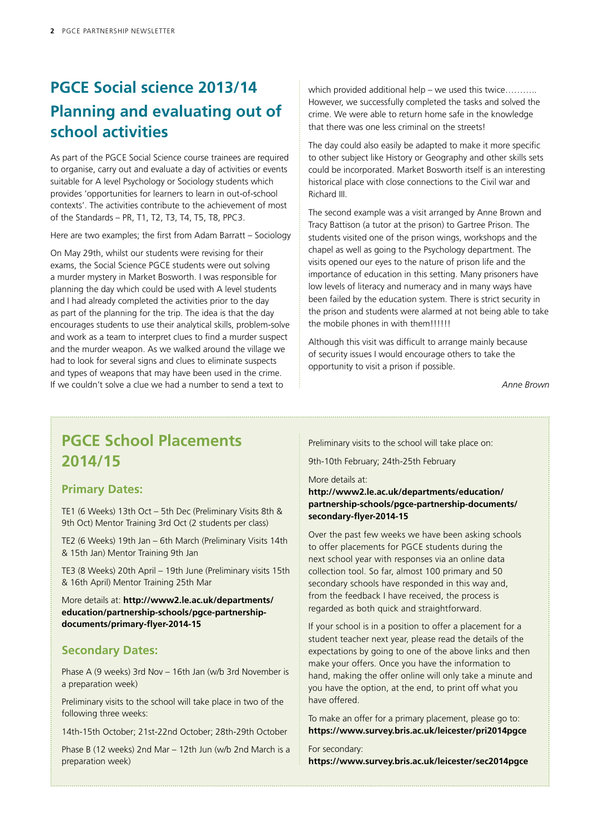# **PGCE Social science 2013/14 Planning and evaluating out of school activities**

As part of the PGCE Social Science course trainees are required to organise, carry out and evaluate a day of activities or events suitable for A level Psychology or Sociology students which provides 'opportunities for learners to learn in out-of-school contexts'. The activities contribute to the achievement of most of the Standards – PR, T1, T2, T3, T4, T5, T8, PPC3.

Here are two examples; the first from Adam Barratt – Sociology

On May 29th, whilst our students were revising for their exams, the Social Science PGCE students were out solving a murder mystery in Market Bosworth. I was responsible for planning the day which could be used with A level students and I had already completed the activities prior to the day as part of the planning for the trip. The idea is that the day encourages students to use their analytical skills, problem-solve and work as a team to interpret clues to find a murder suspect and the murder weapon. As we walked around the village we had to look for several signs and clues to eliminate suspects and types of weapons that may have been used in the crime. If we couldn't solve a clue we had a number to send a text to

which provided additional help – we used this twice.......... However, we successfully completed the tasks and solved the crime. We were able to return home safe in the knowledge that there was one less criminal on the streets!

The day could also easily be adapted to make it more specific to other subject like History or Geography and other skills sets could be incorporated. Market Bosworth itself is an interesting historical place with close connections to the Civil war and Richard III.

The second example was a visit arranged by Anne Brown and Tracy Battison (a tutor at the prison) to Gartree Prison. The students visited one of the prison wings, workshops and the chapel as well as going to the Psychology department. The visits opened our eyes to the nature of prison life and the importance of education in this setting. Many prisoners have low levels of literacy and numeracy and in many ways have been failed by the education system. There is strict security in the prison and students were alarmed at not being able to take the mobile phones in with them!!!!!!!

Although this visit was difficult to arrange mainly because of security issues I would encourage others to take the opportunity to visit a prison if possible.

*Anne Brown* 

# **PGCE School Placements 2014/15**

#### **Primary Dates:**

TE1 (6 Weeks) 13th Oct – 5th Dec (Preliminary Visits 8th & 9th Oct) Mentor Training 3rd Oct (2 students per class)

TE2 (6 Weeks) 19th Jan – 6th March (Preliminary Visits 14th & 15th Jan) Mentor Training 9th Jan

TE3 (8 Weeks) 20th April – 19th June (Preliminary visits 15th & 16th April) Mentor Training 25th Mar

More details at: **http://www2.le.ac.uk/departments/ education/partnership-schools/pgce-partnershipdocuments/primary-flyer-2014-15** 

#### **Secondary Dates:**

Phase A (9 weeks) 3rd Nov – 16th Jan (w/b 3rd November is a preparation week)

Preliminary visits to the school will take place in two of the following three weeks:

14th-15th October; 21st-22nd October; 28th-29th October

Phase B (12 weeks) 2nd Mar – 12th Jun (w/b 2nd March is a preparation week)

Preliminary visits to the school will take place on:

9th-10th February; 24th-25th February

More details at:

#### **http://www2.le.ac.uk/departments/education/ partnership-schools/pgce-partnership-documents/ secondary-flyer-2014-15**

Over the past few weeks we have been asking schools to offer placements for PGCE students during the next school year with responses via an online data collection tool. So far, almost 100 primary and 50 secondary schools have responded in this way and, from the feedback I have received, the process is regarded as both quick and straightforward.

If your school is in a position to offer a placement for a student teacher next year, please read the details of the expectations by going to one of the above links and then make your offers. Once you have the information to hand, making the offer online will only take a minute and you have the option, at the end, to print off what you have offered.

To make an offer for a primary placement, please go to: **https://www.survey.bris.ac.uk/leicester/pri2014pgce**

For secondary: **https://www.survey.bris.ac.uk/leicester/sec2014pgce**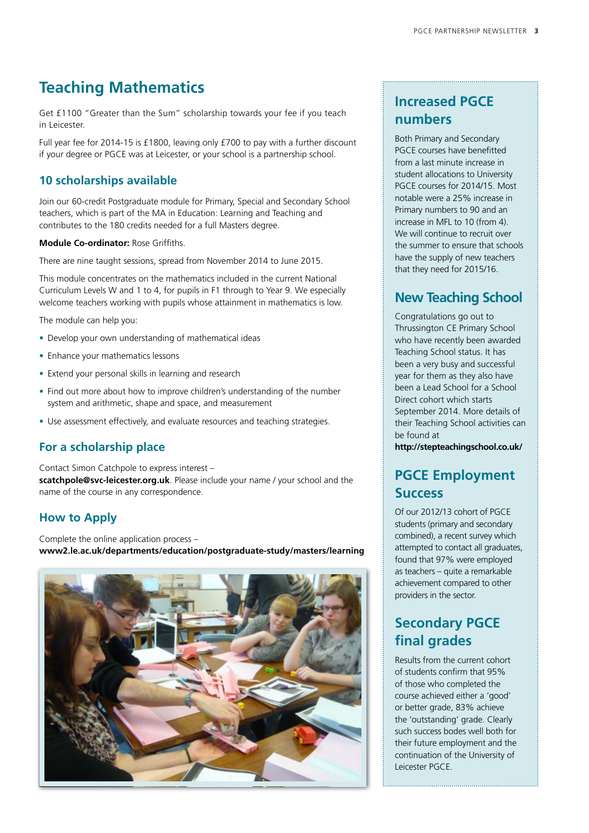# **Teaching Mathematics**

Get £1100 "Greater than the Sum" scholarship towards your fee if you teach in Leicester.

Full year fee for 2014-15 is £1800, leaving only £700 to pay with a further discount if your degree or PGCE was at Leicester, or your school is a partnership school.

#### **10 scholarships available**

Join our 60-credit Postgraduate module for Primary, Special and Secondary School teachers, which is part of the MA in Education: Learning and Teaching and contributes to the 180 credits needed for a full Masters degree.

**Module Co-ordinator:** Rose Griffiths.

There are nine taught sessions, spread from November 2014 to June 2015.

This module concentrates on the mathematics included in the current National Curriculum Levels W and 1 to 4, for pupils in F1 through to Year 9. We especially welcome teachers working with pupils whose attainment in mathematics is low.

The module can help you:

- Develop your own understanding of mathematical ideas
- Enhance your mathematics lessons
- Extend your personal skills in learning and research
- Find out more about how to improve children's understanding of the number system and arithmetic, shape and space, and measurement
- Use assessment effectively, and evaluate resources and teaching strategies.

#### **For a scholarship place**

Contact Simon Catchpole to express interest – **scatchpole@svc-leicester.org.uk**. Please include your name / your school and the name of the course in any correspondence.

#### **How to Apply**

Complete the online application process – **www2.le.ac.uk/departments/education/postgraduate-study/masters/learning**



## **Increased PGCE numbers**

Both Primary and Secondary PGCE courses have benefitted from a last minute increase in student allocations to University PGCE courses for 2014/15. Most notable were a 25% increase in Primary numbers to 90 and an increase in MFL to 10 (from 4). We will continue to recruit over the summer to ensure that schools have the supply of new teachers that they need for 2015/16.

## **New Teaching School**

Congratulations go out to Thrussington CE Primary School who have recently been awarded Teaching School status. It has been a very busy and successful year for them as they also have been a Lead School for a School Direct cohort which starts September 2014. More details of their Teaching School activities can be found at

**http://stepteachingschool.co.uk/** 

## **PGCE Employment Success**

Of our 2012/13 cohort of PGCE students (primary and secondary combined), a recent survey which attempted to contact all graduates, found that 97% were employed as teachers – quite a remarkable achievement compared to other providers in the sector.

## **Secondary PGCE final grades**

Results from the current cohort of students confirm that 95% of those who completed the course achieved either a 'good' or better grade, 83% achieve the 'outstanding' grade. Clearly such success bodes well both for their future employment and the continuation of the University of Leicester PGCE.